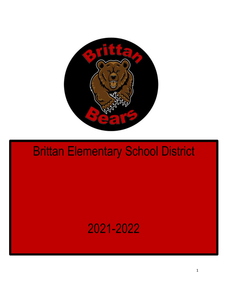

# Brittan Elementary School District

# 2021-2022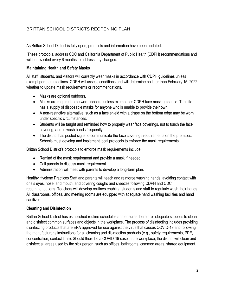# BRITTAN SCHOOL DISTRICTS REOPENING PLAN

As Brittan School District is fully open, protocols and information have been updated.

These protocols, address CDC and California Department of Public Health (CDPH) recommendations and will be revisited every 6 months to address any changes.

#### **Maintaining Health and Safety Masks**

All staff, students, and visitors will correctly wear masks in accordance with CDPH guidelines unless exempt per the guidelines. CDPH will assess conditions and will determine no later than February 15, 2022 whether to update mask requirements or recommendations.

- Masks are optional outdoors.
- Masks are required to be worn indoors, unless exempt per CDPH face mask guidance. The site has a supply of disposable masks for anyone who is unable to provide their own.
- A non-restrictive alternative, such as a face shield with a drape on the bottom edge may be worn under specific circumstances.
- Students will be taught and reminded how to properly wear face coverings, not to touch the face covering, and to wash hands frequently.
- The district has posted signs to communicate the face coverings requirements on the premises. Schools must develop and implement local protocols to enforce the mask requirements.

Brittan School District's protocols to enforce mask requirements include:

- Remind of the mask requirement and provide a mask if needed.
- Call parents to discuss mask requirement.
- Administration will meet with parents to develop a long-term plan.

Healthy Hygiene Practices Staff and parents will teach and reinforce washing hands, avoiding contact with one's eyes, nose, and mouth, and covering coughs and sneezes following CDPH and CDC recommendations. Teachers will develop routines enabling students and staff to regularly wash their hands. All classrooms, offices, and meeting rooms are equipped with adequate hand washing facilities and hand sanitizer.

#### **Cleaning and Disinfection**

Brittan School District has established routine schedules and ensures there are adequate supplies to clean and disinfect common surfaces and objects in the workplace. The process of disinfecting includes providing disinfecting products that are EPA approved for use against the virus that causes COVID-19 and following the manufacturer's instructions for all cleaning and disinfection products (e.g., safety requirements, PPE, concentration, contact time). Should there be a COVID-19 case in the workplace, the district will clean and disinfect all areas used by the sick person, such as offices, bathrooms, common areas, shared equipment.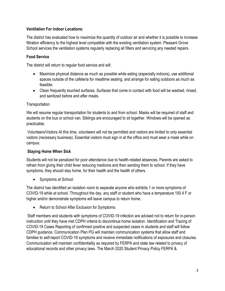### **Ventilation For indoor Locations:**

The district has evaluated how to maximize the quantity of outdoor air and whether it is possible to increase filtration efficiency to the highest level compatible with the existing ventilation system. Pleasant Grove School services the ventilation systems regularly replacing all filters and servicing any needed repairs.

# **Food Service**

The district will return to regular food service and will:

- Maximize physical distance as much as possible while eating (especially indoors), use additional spaces outside of the cafeteria for mealtime seating, and arrange for eating outdoors as much as feasible.
- Clean frequently touched surfaces. Surfaces that come in contact with food will be washed, rinsed, and sanitized before and after meals.

#### **Transportation**

We will resume regular transportation for students to and from school. Masks will be required of staff and students on the bus or school van. Siblings are encouraged to sit together. Windows will be opened as practicable.

Volunteers/Visitors At this time, volunteers will not be permitted and visitors are limited to only essential visitors (necessary business). Essential visitors must sign in at the office and must wear a mask while on campus.

# **Staying Home When Sick**

Students will not be penalized for poor attendance due to health-related absences. Parents are asked to refrain from giving their child fever reducing medicine and then sending them to school. If they have symptoms, they should stay home, for their health and the health of others.

Symptoms at School:

The district has identified an isolation room to separate anyone who exhibits 1 or more symptoms of COVID-19 while at school. Throughout the day, any staff or student who have a temperature 100.4 F or higher and/or demonstrate symptoms will leave campus to return home.

• Return to School After Exclusion for Symptoms:

Staff members and students with symptoms of COVID-19 infection are advised not to return for in-person instruction until they have met CDPH criteria to discontinue home isolation. Identification and Tracing of COVID-19 Cases Reporting of confirmed positive and suspected cases in students and staff will follow CDPH guidance. Communication Plan PG will maintain communication systems that allow staff and families to self-report COVID-19 symptoms and receive immediate notifications of exposures and closures. Communication will maintain confidentiality as required by FERPA and state law related to privacy of educational records and other privacy laws. The March 2020 Student Privacy Policy FERPA &.